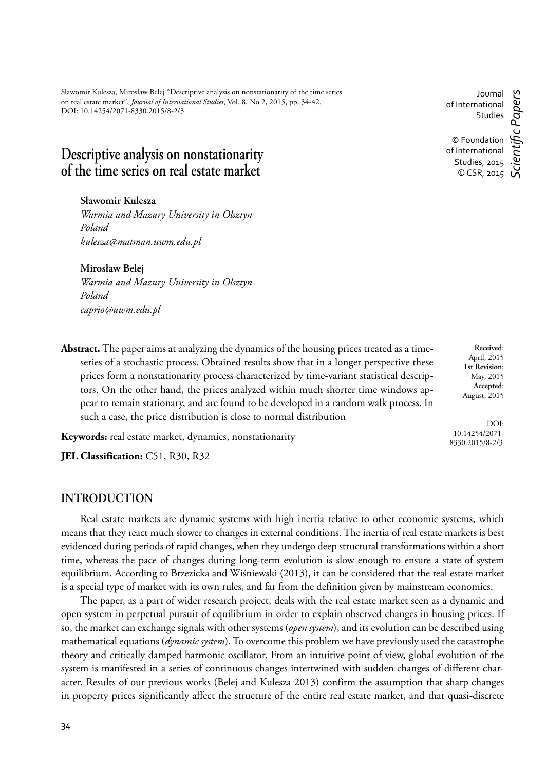Sławomir Kulesza, Mirosław Belej "Descriptive analysis on nonstationarity of the time series on real estate market", *Journal of International Studies*, Vol. 8, No 2, 2015, pp. 34-42. DOI: 10.14254/2071-8330.2015/8-2/3

# **Descriptive analysis on nonstationarity of the time series on real estate market**

**Sławomir Kulesza**

*Warmia and Mazury University in Olsztyn Poland kulesza@matman.uwm.edu.pl*

**Mirosław Belej**

*Warmia and Mazury University in Olsztyn Poland caprio@uwm.edu.pl*

**Abstract.** The paper aims at analyzing the dynamics of the housing prices treated as a timeseries of a stochastic process. Obtained results show that in a longer perspective these prices form a nonstationarity process characterized by time-variant statistical descriptors. On the other hand, the prices analyzed within much shorter time windows appear to remain stationary, and are found to be developed in a random walk process. In such a case, the price distribution is close to normal distribution

**Keywords:** real estate market, dynamics, nonstationarity

JEL Classification: C51, R30, R32

# **INTRODUCTION**

Real estate markets are dynamic systems with high inertia relative to other economic systems, which means that they react much slower to changes in external conditions. The inertia of real estate markets is best evidenced during periods of rapid changes, when they undergo deep structural transformations within a short time, whereas the pace of changes during long-term evolution is slow enough to ensure a state of system equilibrium. According to Brzezicka and Wiśniewski (2013), it can be considered that the real estate market is a special type of market with its own rules, and far from the definition given by mainstream economics.

The paper, as a part of wider research project, deals with the real estate market seen as a dynamic and open system in perpetual pursuit of equilibrium in order to explain observed changes in housing prices. If so, the market can exchange signals with other systems (*open system*), and its evolution can be described using mathematical equations (*dynamic system*). To overcome this problem we have previously used the catastrophe theory and critically damped harmonic oscillator. From an intuitive point of view, global evolution of the system is manifested in a series of continuous changes intertwined with sudden changes of different character. Results of our previous works (Belej and Kulesza 2013) confirm the assumption that sharp changes in property prices significantly affect the structure of the entire real estate market, and that quasi-discrete

Journal of International Studies © Foundation of International Studies, 2015 © CSR, 2015 *Scientifi c Papers*

> **Received**: April, 2015 **1st Revision:** May, 2015 **Accepted:** August, 2015

DOI: 10.14254/2071- 8330.2015/8-2/3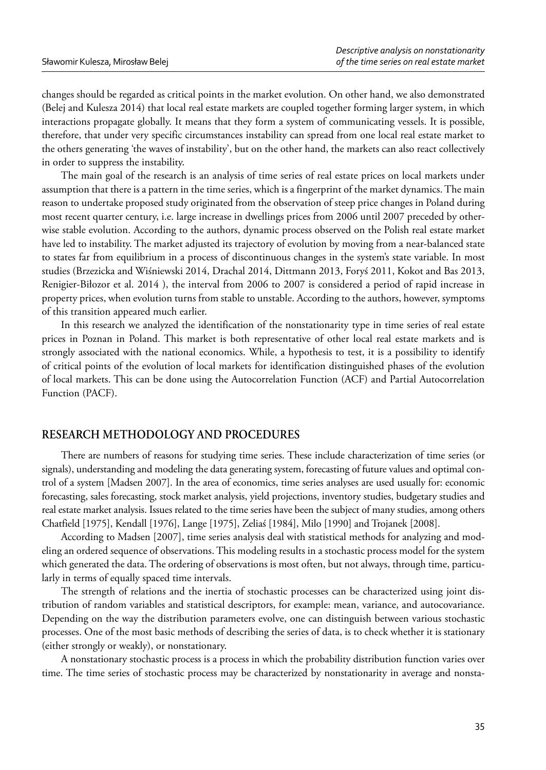changes should be regarded as critical points in the market evolution. On other hand, we also demonstrated (Belej and Kulesza 2014) that local real estate markets are coupled together forming larger system, in which interactions propagate globally. It means that they form a system of communicating vessels. It is possible, therefore, that under very specific circumstances instability can spread from one local real estate market to the others generating 'the waves of instability', but on the other hand, the markets can also react collectively in order to suppress the instability.

The main goal of the research is an analysis of time series of real estate prices on local markets under assumption that there is a pattern in the time series, which is a fingerprint of the market dynamics. The main reason to undertake proposed study originated from the observation of steep price changes in Poland during most recent quarter century, i.e. large increase in dwellings prices from 2006 until 2007 preceded by otherwise stable evolution. According to the authors, dynamic process observed on the Polish real estate market have led to instability. The market adjusted its trajectory of evolution by moving from a near-balanced state to states far from equilibrium in a process of discontinuous changes in the system's state variable. In most studies (Brzezicka and Wiśniewski 2014, Drachal 2014, Dittmann 2013, Foryś 2011, Kokot and Bas 2013, Renigier-Biłozor et al. 2014 ), the interval from 2006 to 2007 is considered a period of rapid increase in property prices, when evolution turns from stable to unstable. According to the authors, however, symptoms of this transition appeared much earlier.

In this research we analyzed the identification of the nonstationarity type in time series of real estate prices in Poznan in Poland. This market is both representative of other local real estate markets and is strongly associated with the national economics. While, a hypothesis to test, it is a possibility to identify of critical points of the evolution of local markets for identification distinguished phases of the evolution of local markets. This can be done using the Autocorrelation Function (ACF) and Partial Autocorrelation Function (PACF).

# **RESEARCH METHODOLOGY AND PROCEDURES**

There are numbers of reasons for studying time series. These include characterization of time series (or signals), understanding and modeling the data generating system, forecasting of future values and optimal control of a system [Madsen 2007]. In the area of economics, time series analyses are used usually for: economic forecasting, sales forecasting, stock market analysis, yield projections, inventory studies, budgetary studies and real estate market analysis. Issues related to the time series have been the subject of many studies, among others Chatfield [1975], Kendall [1976], Lange [1975], Zeliaś [1984], Milo [1990] and Trojanek [2008].

According to Madsen [2007], time series analysis deal with statistical methods for analyzing and modeling an ordered sequence of observations. This modeling results in a stochastic process model for the system which generated the data. The ordering of observations is most often, but not always, through time, particularly in terms of equally spaced time intervals.

The strength of relations and the inertia of stochastic processes can be characterized using joint distribution of random variables and statistical descriptors, for example: mean, variance, and autocovariance. Depending on the way the distribution parameters evolve, one can distinguish between various stochastic processes. One of the most basic methods of describing the series of data, is to check whether it is stationary (either strongly or weakly), or nonstationary.

A nonstationary stochastic process is a process in which the probability distribution function varies over time. The time series of stochastic process may be characterized by nonstationarity in average and nonsta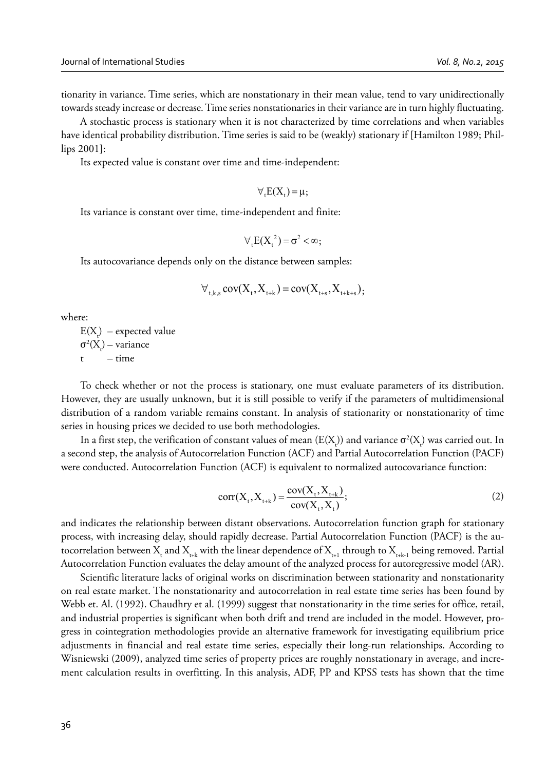tionarity in variance. Time series, which are nonstationary in their mean value, tend to vary unidirectionally towards steady increase or decrease. Time series nonstationaries in their variance are in turn highly fluctuating.

A stochastic process is stationary when it is not characterized by time correlations and when variables have identical probability distribution. Time series is said to be (weakly) stationary if [Hamilton 1989; Phillips 2001]:

Its expected value is constant over time and time-independent:

$$
\forall_{t} E(X_{t}) = \mu;
$$

Its variance is constant over time, time-independent and finite:

$$
\forall_{t} E(X_{t}^{2}) = \sigma^{2} < \infty;
$$

Its autocovariance depends only on the distance between samples:

$$
\forall_{t,k,s} cov(X_t, X_{t+k}) = cov(X_{t+s}, X_{t+k+s}),
$$

where:

 $E(X<sub>t</sub>)$  – expected value  $σ²(X<sub>t</sub>) - variance$  $t - time$ 

To check whether or not the process is stationary, one must evaluate parameters of its distribution. However, they are usually unknown, but it is still possible to verify if the parameters of multidimensional distribution of a random variable remains constant. In analysis of stationarity or nonstationarity of time series in housing prices we decided to use both methodologies.

In a first step, the verification of constant values of mean (E(X<sub>t)</sub>) and variance  $\sigma^2(X_t)$  was carried out. In a second step, the analysis of Autocorrelation Function (ACF) and Partial Autocorrelation Function (PACF) were conducted. Autocorrelation Function (ACF) is equivalent to normalized autocovariance function:

$$
corr(X_t, X_{t+k}) = \frac{cov(X_t, X_{t+k})}{cov(X_t, X_t)};
$$
\n(2)

and indicates the relationship between distant observations. Autocorrelation function graph for stationary process, with increasing delay, should rapidly decrease. Partial Autocorrelation Function (PACF) is the autocorrelation between  $X_{\!\!_{\rm tr}}$  and  $X_{\!\!_{\rm trk}}$  with the linear dependence of  $X_{\!\!_{\rm trl}}$  through to  $X_{\!\!_{\rm trk-l}}$  being removed. Partial Autocorrelation Function evaluates the delay amount of the analyzed process for autoregressive model (AR).

Scientific literature lacks of original works on discrimination between stationarity and nonstationarity on real estate market. The nonstationarity and autocorrelation in real estate time series has been found by Webb et. Al. (1992). Chaudhry et al. (1999) suggest that nonstationarity in the time series for office, retail, and industrial properties is significant when both drift and trend are included in the model. However, progress in cointegration methodologies provide an alternative framework for investigating equilibrium price adjustments in financial and real estate time series, especially their long-run relationships. According to Wisniewski (2009), analyzed time series of property prices are roughly nonstationary in average, and increment calculation results in overfitting. In this analysis, ADF, PP and KPSS tests has shown that the time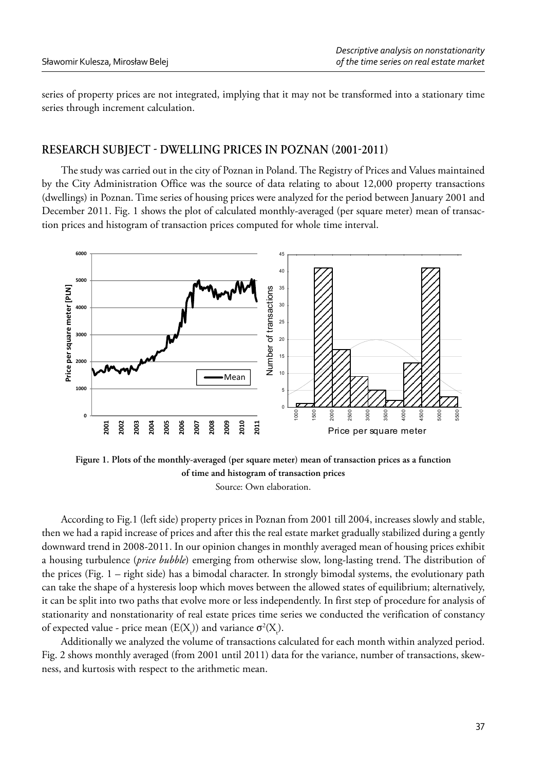series of property prices are not integrated, implying that it may not be transformed into a stationary time series through increment calculation.

### **RESEARCH SUBJECT - DWELLING PRICES IN POZNAN (2001-2011)**

The study was carried out in the city of Poznan in Poland. The Registry of Prices and Values maintained by the City Administration Office was the source of data relating to about 12,000 property transactions (dwellings) in Poznan. Time series of housing prices were analyzed for the period between January 2001 and December 2011. Fig. 1 shows the plot of calculated monthly-averaged (per square meter) mean of transaction prices and histogram of transaction prices computed for whole time interval.



**Figure 1. Plots of the monthly-averaged (per square meter) mean of transaction prices as a function of time and histogram of transaction prices** Source: Own elaboration.

According to Fig.1 (left side) property prices in Poznan from 2001 till 2004, increases slowly and stable, then we had a rapid increase of prices and after this the real estate market gradually stabilized during a gently downward trend in 2008-2011. In our opinion changes in monthly averaged mean of housing prices exhibit a housing turbulence (*price bubble*) emerging from otherwise slow, long-lasting trend. The distribution of the prices (Fig. 1 – right side) has a bimodal character. In strongly bimodal systems, the evolutionary path can take the shape of a hysteresis loop which moves between the allowed states of equilibrium; alternatively, it can be split into two paths that evolve more or less independently. In first step of procedure for analysis of stationarity and nonstationarity of real estate prices time series we conducted the verification of constancy of expected value - price mean  $(E(X_t))$  and variance  $\sigma^2(X_t)$ .

Additionally we analyzed the volume of transactions calculated for each month within analyzed period. Fig. 2 shows monthly averaged (from 2001 until 2011) data for the variance, number of transactions, skewness, and kurtosis with respect to the arithmetic mean.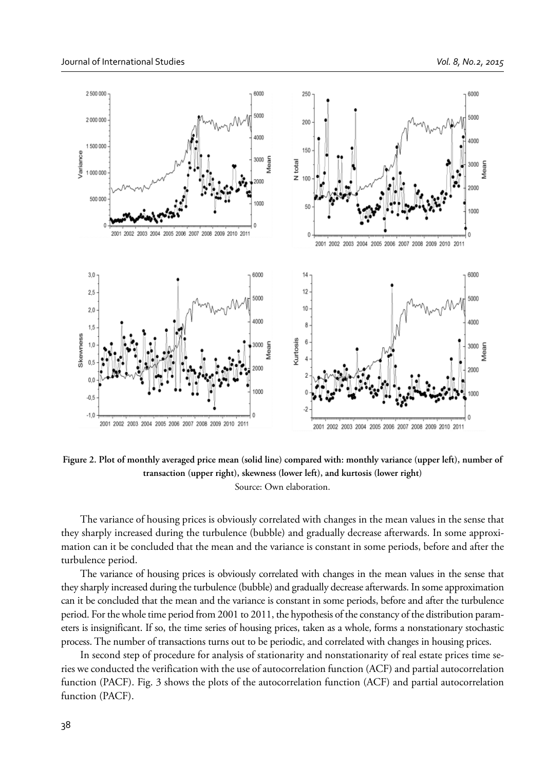

**Figure 2. Plot of monthly averaged price mean (solid line) compared with: monthly variance (upper left), number of transaction (upper right), skewness (lower left), and kurtosis (lower right)** Source: Own elaboration.

The variance of housing prices is obviously correlated with changes in the mean values in the sense that they sharply increased during the turbulence (bubble) and gradually decrease afterwards. In some approximation can it be concluded that the mean and the variance is constant in some periods, before and after the turbulence period.

The variance of housing prices is obviously correlated with changes in the mean values in the sense that they sharply increased during the turbulence (bubble) and gradually decrease afterwards. In some approximation can it be concluded that the mean and the variance is constant in some periods, before and after the turbulence period. For the whole time period from 2001 to 2011, the hypothesis of the constancy of the distribution parameters is insignificant. If so, the time series of housing prices, taken as a whole, forms a nonstationary stochastic process. The number of transactions turns out to be periodic, and correlated with changes in housing prices.

In second step of procedure for analysis of stationarity and nonstationarity of real estate prices time series we conducted the verification with the use of autocorrelation function (ACF) and partial autocorrelation function (PACF). Fig. 3 shows the plots of the autocorrelation function (ACF) and partial autocorrelation function (PACF).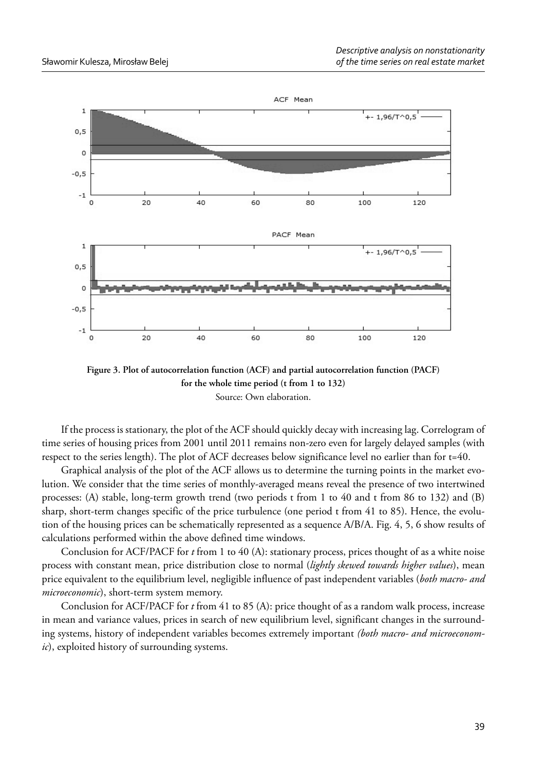

**Figure 3. Plot of autocorrelation function (ACF) and partial autocorrelation function (PACF) for the whole time period (t from 1 to 132)** Source: Own elaboration.

If the process is stationary, the plot of the ACF should quickly decay with increasing lag. Correlogram of time series of housing prices from 2001 until 2011 remains non-zero even for largely delayed samples (with respect to the series length). The plot of ACF decreases below significance level no earlier than for t=40.

Graphical analysis of the plot of the ACF allows us to determine the turning points in the market evolution. We consider that the time series of monthly-averaged means reveal the presence of two intertwined processes: (A) stable, long-term growth trend (two periods t from 1 to 40 and t from 86 to 132) and (B) sharp, short-term changes specific of the price turbulence (one period t from 41 to 85). Hence, the evolution of the housing prices can be schematically represented as a sequence A/B/A. Fig. 4, 5, 6 show results of calculations performed within the above defined time windows.

Conclusion for ACF/PACF for *t* from 1 to 40 (A): stationary process, prices thought of as a white noise process with constant mean, price distribution close to normal (*lightly skewed towards higher values*), mean price equivalent to the equilibrium level, negligible influence of past independent variables (*both macro- and microeconomic*), short-term system memory.

Conclusion for ACF/PACF for *t* from 41 to 85 (A): price thought of as a random walk process, increase in mean and variance values, prices in search of new equilibrium level, significant changes in the surrounding systems, history of independent variables becomes extremely important *(both macro- and microeconomic*), exploited history of surrounding systems.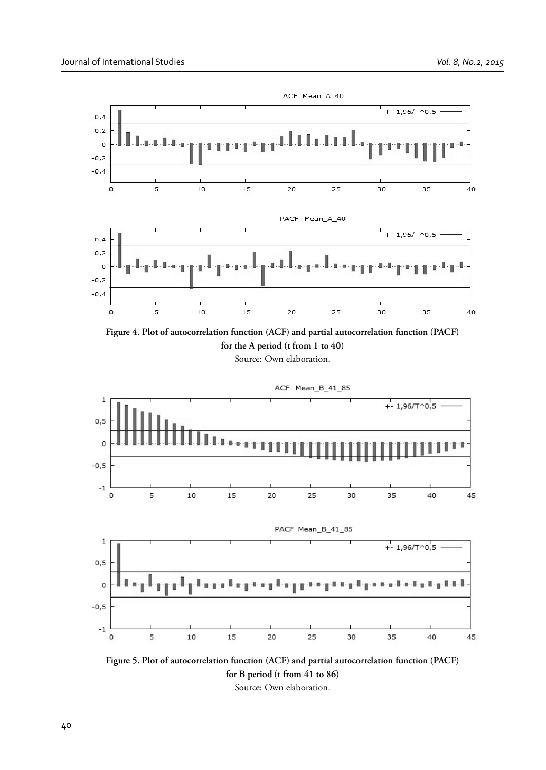

**Figure 4. Plot of autocorrelation function (ACF) and partial autocorrelation function (PACF) for the A period (t from 1 to 40)** Source: Own elaboration.



**Figure 5. Plot of autocorrelation function (ACF) and partial autocorrelation function (PACF) for B period (t from 41 to 86)** Source: Own elaboration.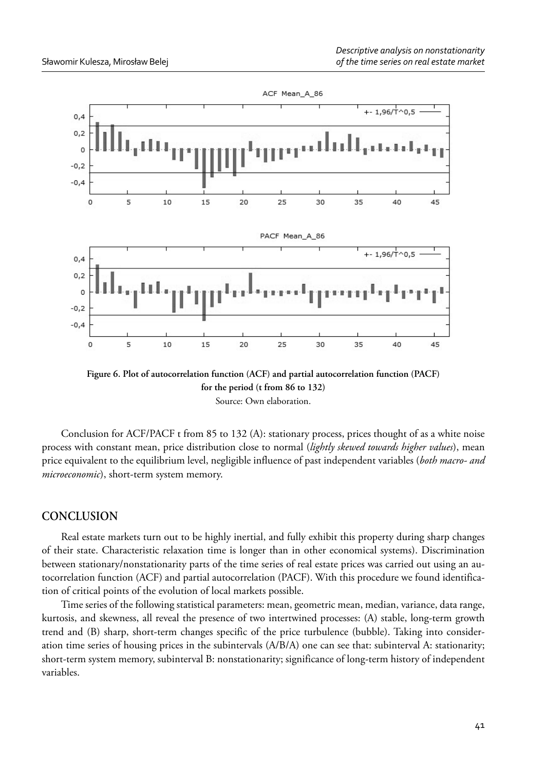

**Figure 6. Plot of autocorrelation function (ACF) and partial autocorrelation function (PACF) for the period (t from 86 to 132)** Source: Own elaboration.

Conclusion for ACF/PACF t from 85 to 132 (A): stationary process, prices thought of as a white noise process with constant mean, price distribution close to normal (*lightly skewed towards higher values*), mean price equivalent to the equilibrium level, negligible influence of past independent variables (*both macro- and microeconomic*), short-term system memory.

### **CONCLUSION**

Real estate markets turn out to be highly inertial, and fully exhibit this property during sharp changes of their state. Characteristic relaxation time is longer than in other economical systems). Discrimination between stationary/nonstationarity parts of the time series of real estate prices was carried out using an autocorrelation function (ACF) and partial autocorrelation (PACF). With this procedure we found identification of critical points of the evolution of local markets possible.

Time series of the following statistical parameters: mean, geometric mean, median, variance, data range, kurtosis, and skewness, all reveal the presence of two intertwined processes: (A) stable, long-term growth trend and (B) sharp, short-term changes specific of the price turbulence (bubble). Taking into consideration time series of housing prices in the subintervals (A/B/A) one can see that: subinterval A: stationarity; short-term system memory, subinterval B: nonstationarity; significance of long-term history of independent variables.